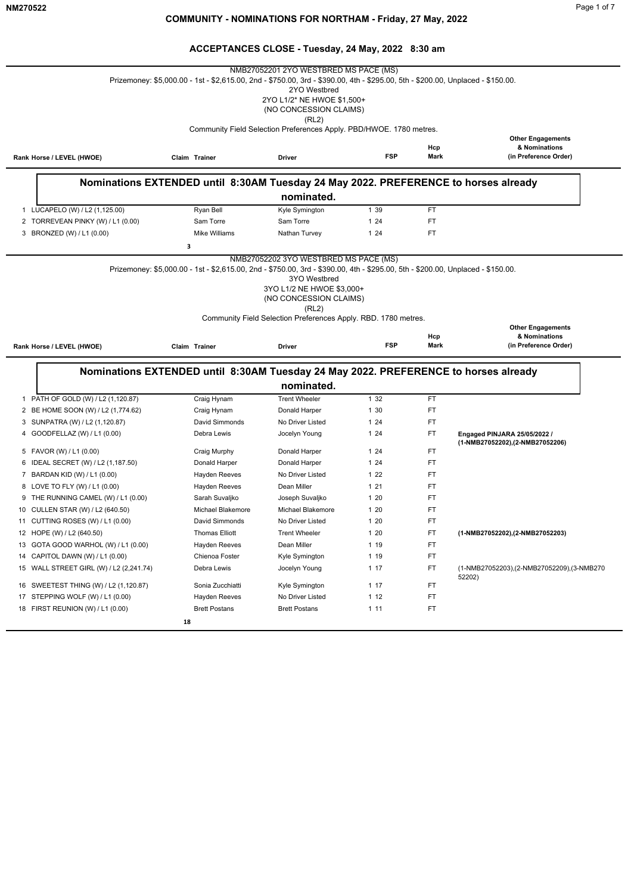|                                                                                                                                                                                                                                                                                                                    | Prizemoney: \$5,000.00 - 1st - \$2,615.00, 2nd - \$750.00, 3rd - \$390.00, 4th - \$295.00, 5th - \$200.00, Unplaced - \$150.00. | NMB27052201 2YO WESTBRED MS PACE (MS)<br>2YO Westbred<br>2YO L1/2* NE HWOE \$1,500+<br>(NO CONCESSION CLAIMS)<br>(RL2) |            |             |                                                                    |
|--------------------------------------------------------------------------------------------------------------------------------------------------------------------------------------------------------------------------------------------------------------------------------------------------------------------|---------------------------------------------------------------------------------------------------------------------------------|------------------------------------------------------------------------------------------------------------------------|------------|-------------|--------------------------------------------------------------------|
|                                                                                                                                                                                                                                                                                                                    | Claim Trainer                                                                                                                   | Community Field Selection Preferences Apply. PBD/HWOE. 1780 metres.<br>Driver                                          | <b>FSP</b> | Hcp<br>Mark | <b>Other Engagements</b><br>& Nominations<br>(in Preference Order) |
| Rank Horse / LEVEL (HWOE)                                                                                                                                                                                                                                                                                          |                                                                                                                                 |                                                                                                                        |            |             |                                                                    |
|                                                                                                                                                                                                                                                                                                                    | Nominations EXTENDED until 8:30AM Tuesday 24 May 2022. PREFERENCE to horses already                                             |                                                                                                                        |            |             |                                                                    |
|                                                                                                                                                                                                                                                                                                                    |                                                                                                                                 | nominated.                                                                                                             |            |             |                                                                    |
| 1 LUCAPELO (W) / L2 (1,125.00)                                                                                                                                                                                                                                                                                     | Ryan Bell                                                                                                                       | Kyle Symington                                                                                                         | 1 39       | FT.         |                                                                    |
| 2 TORREVEAN PINKY (W) / L1 (0.00)                                                                                                                                                                                                                                                                                  | Sam Torre                                                                                                                       | Sam Torre                                                                                                              | 1 24       | FT          |                                                                    |
| 3 BRONZED (W) / L1 (0.00)                                                                                                                                                                                                                                                                                          | <b>Mike Williams</b><br>з                                                                                                       | Nathan Turvey                                                                                                          | 124        | FT          |                                                                    |
|                                                                                                                                                                                                                                                                                                                    |                                                                                                                                 | (NO CONCESSION CLAIMS)<br>(RL2)                                                                                        |            |             |                                                                    |
|                                                                                                                                                                                                                                                                                                                    |                                                                                                                                 | Community Field Selection Preferences Apply. RBD. 1780 metres.                                                         |            |             |                                                                    |
| Rank Horse / LEVEL (HWOE)                                                                                                                                                                                                                                                                                          | Claim Trainer                                                                                                                   | Driver                                                                                                                 | <b>FSP</b> | Hcp<br>Mark | <b>Other Engagements</b><br>& Nominations<br>(in Preference Order) |
|                                                                                                                                                                                                                                                                                                                    |                                                                                                                                 |                                                                                                                        |            |             |                                                                    |
|                                                                                                                                                                                                                                                                                                                    | Nominations EXTENDED until 8:30AM Tuesday 24 May 2022. PREFERENCE to horses already                                             | nominated.                                                                                                             |            |             |                                                                    |
| PATH OF GOLD (W) / L2 (1,120.87)<br>1                                                                                                                                                                                                                                                                              | Craig Hynam                                                                                                                     | <b>Trent Wheeler</b>                                                                                                   | 1 32       | FT.         |                                                                    |
|                                                                                                                                                                                                                                                                                                                    | Craig Hynam                                                                                                                     | Donald Harper                                                                                                          | 1 30       | <b>FT</b>   |                                                                    |
| SUNPATRA (W) / L2 (1,120.87)                                                                                                                                                                                                                                                                                       | David Simmonds                                                                                                                  | No Driver Listed                                                                                                       | 1 24       | FT          |                                                                    |
| GOODFELLAZ (W) / L1 (0.00)                                                                                                                                                                                                                                                                                         | Debra Lewis                                                                                                                     | Jocelyn Young                                                                                                          | 124        | FT.         | Engaged PINJARA 25/05/2022 /                                       |
|                                                                                                                                                                                                                                                                                                                    | Craig Murphy                                                                                                                    | Donald Harper                                                                                                          | 1 24       | FT.         | (1-NMB27052202),(2-NMB27052206)                                    |
| IDEAL SECRET (W) / L2 (1,187.50)                                                                                                                                                                                                                                                                                   | Donald Harper                                                                                                                   | Donald Harper                                                                                                          | 1 24       | FT          |                                                                    |
|                                                                                                                                                                                                                                                                                                                    | <b>Hayden Reeves</b>                                                                                                            | No Driver Listed                                                                                                       | 122        | FT.         |                                                                    |
| LOVE TO FLY (W) / L1 (0.00)                                                                                                                                                                                                                                                                                        | Hayden Reeves                                                                                                                   | Dean Miller                                                                                                            | 121        | FT          |                                                                    |
| THE RUNNING CAMEL (W) / L1 (0.00)                                                                                                                                                                                                                                                                                  | Sarah Suvaljko                                                                                                                  | Joseph Suvaljko                                                                                                        | 120        | <b>FT</b>   |                                                                    |
| CULLEN STAR (W) / L2 (640.50)                                                                                                                                                                                                                                                                                      | <b>Michael Blakemore</b>                                                                                                        | <b>Michael Blakemore</b>                                                                                               | 1 20       | FT          |                                                                    |
|                                                                                                                                                                                                                                                                                                                    | David Simmonds                                                                                                                  | No Driver Listed                                                                                                       | 120        | <b>FT</b>   |                                                                    |
|                                                                                                                                                                                                                                                                                                                    | <b>Thomas Elliott</b>                                                                                                           | <b>Trent Wheeler</b>                                                                                                   | 120        | FT          | (1-NMB27052202),(2-NMB27052203)                                    |
|                                                                                                                                                                                                                                                                                                                    | Hayden Reeves                                                                                                                   | Dean Miller                                                                                                            | 1 19       | FT          |                                                                    |
|                                                                                                                                                                                                                                                                                                                    | Chienoa Foster                                                                                                                  | Kyle Symington                                                                                                         | 1 19       | FT.         |                                                                    |
| 2 BE HOME SOON (W) / L2 (1,774.62)<br>3<br>4<br>5 FAVOR (W) / L1 (0.00)<br>6<br>7 BARDAN KID (W) / L1 (0.00)<br>8<br>9<br>10<br>11 CUTTING ROSES (W) / L1 (0.00)<br>12 HOPE (W) / L2 (640.50)<br>13 GOTA GOOD WARHOL (W) / L1 (0.00)<br>14 CAPITOL DAWN (W) / L1 (0.00)<br>15 WALL STREET GIRL (W) / L2 (2,241.74) | Debra Lewis                                                                                                                     | Jocelyn Young                                                                                                          | 117        | FT.         | (1-NMB27052203),(2-NMB27052209),(3-NMB270<br>52202)                |
|                                                                                                                                                                                                                                                                                                                    | Sonia Zucchiatti                                                                                                                | Kyle Symington                                                                                                         | 117        | FT.         |                                                                    |
| 16 SWEETEST THING (W) / L2 (1,120.87)<br>17 STEPPING WOLF (W) / L1 (0.00)                                                                                                                                                                                                                                          | Hayden Reeves<br><b>Brett Postans</b>                                                                                           | No Driver Listed                                                                                                       | 112        | FT          |                                                                    |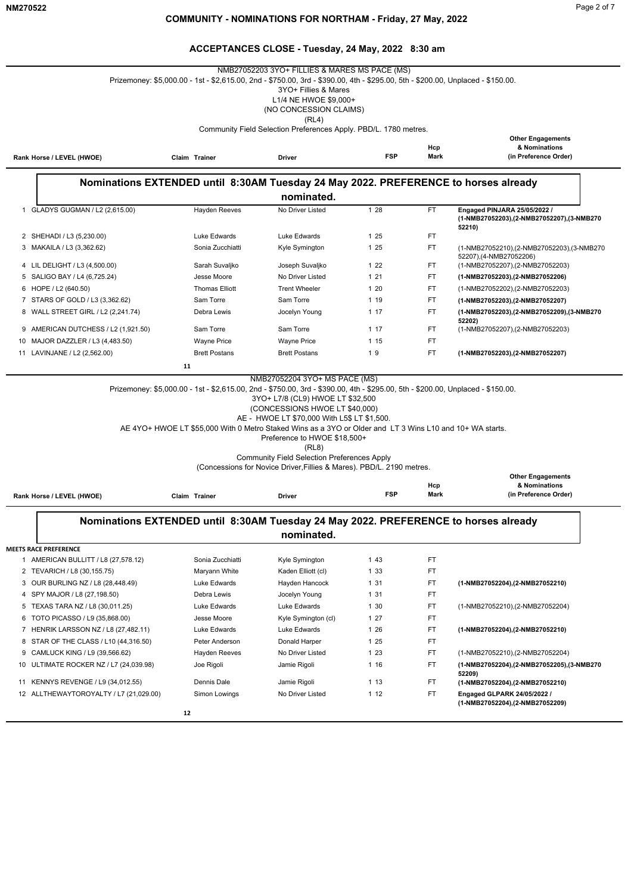|                                        | Prizemoney: \$5,000.00 - 1st - \$2,615.00, 2nd - \$750.00, 3rd - \$390.00, 4th - \$295.00, 5th - \$200.00, Unplaced - \$150.00. | NMB27052203 3YO+ FILLIES & MARES MS PACE (MS)<br>3YO+ Fillies & Mares                                                                                                        |            |             |                                                                |
|----------------------------------------|---------------------------------------------------------------------------------------------------------------------------------|------------------------------------------------------------------------------------------------------------------------------------------------------------------------------|------------|-------------|----------------------------------------------------------------|
|                                        |                                                                                                                                 | L1/4 NE HWOE \$9,000+<br>(NO CONCESSION CLAIMS)                                                                                                                              |            |             |                                                                |
|                                        |                                                                                                                                 | (RL4)                                                                                                                                                                        |            |             |                                                                |
|                                        |                                                                                                                                 | Community Field Selection Preferences Apply. PBD/L. 1780 metres.                                                                                                             |            |             |                                                                |
|                                        |                                                                                                                                 |                                                                                                                                                                              |            |             | <b>Other Engagements</b>                                       |
| Rank Horse / LEVEL (HWOE)              | Claim Trainer                                                                                                                   | Driver                                                                                                                                                                       | <b>FSP</b> | Hcp<br>Mark | & Nominations<br>(in Preference Order)                         |
|                                        |                                                                                                                                 |                                                                                                                                                                              |            |             |                                                                |
|                                        |                                                                                                                                 |                                                                                                                                                                              |            |             |                                                                |
|                                        | Nominations EXTENDED until 8:30AM Tuesday 24 May 2022. PREFERENCE to horses already                                             |                                                                                                                                                                              |            |             |                                                                |
|                                        |                                                                                                                                 | nominated.                                                                                                                                                                   |            |             |                                                                |
| GLADYS GUGMAN / L2 (2,615.00)<br>1     | <b>Hayden Reeves</b>                                                                                                            | No Driver Listed                                                                                                                                                             | 1 28       | <b>FT</b>   | Engaged PINJARA 25/05/2022 /                                   |
|                                        |                                                                                                                                 |                                                                                                                                                                              |            |             | (1-NMB27052203),(2-NMB27052207),(3-NMB270<br>52210)            |
| 2 SHEHADI / L3 (5,230.00)              | Luke Edwards                                                                                                                    | Luke Edwards                                                                                                                                                                 | 1 25       | FT          |                                                                |
| 3 MAKAILA / L3 (3,362.62)              | Sonia Zucchiatti                                                                                                                | Kyle Symington                                                                                                                                                               | 1 25       | FT          | (1-NMB27052210),(2-NMB27052203),(3-NMB270                      |
|                                        |                                                                                                                                 |                                                                                                                                                                              |            |             | 52207),(4-NMB27052206)                                         |
| 4 LIL DELIGHT / L3 (4,500.00)          | Sarah Suvaljko                                                                                                                  | Joseph Suvaljko                                                                                                                                                              | 122        | FT          | (1-NMB27052207),(2-NMB27052203)                                |
| 5 SALIGO BAY / L4 (6,725.24)           | Jesse Moore                                                                                                                     | No Driver Listed                                                                                                                                                             | 1 2 1      | FT          | (1-NMB27052203),(2-NMB27052206)                                |
| 6 HOPE / L2 (640.50)                   | <b>Thomas Elliott</b>                                                                                                           | <b>Trent Wheeler</b>                                                                                                                                                         | 120        | FT          | (1-NMB27052202), (2-NMB27052203)                               |
| 7 STARS OF GOLD / L3 (3,362.62)        | Sam Torre                                                                                                                       | Sam Torre                                                                                                                                                                    | 1 19       | FT          | (1-NMB27052203),(2-NMB27052207)                                |
| 8 WALL STREET GIRL / L2 (2,241.74)     | Debra Lewis                                                                                                                     | Jocelyn Young                                                                                                                                                                | 1 17       | FT          | (1-NMB27052203),(2-NMB27052209),(3-NMB270<br>52202)            |
| AMERICAN DUTCHESS / L2 (1,921.50)<br>9 | Sam Torre                                                                                                                       | Sam Torre                                                                                                                                                                    | 1 17       | FT          | (1-NMB27052207),(2-NMB27052203)                                |
| MAJOR DAZZLER / L3 (4,483.50)<br>10    | <b>Wayne Price</b>                                                                                                              | <b>Wayne Price</b>                                                                                                                                                           | 1 15       | FT          |                                                                |
| 11 LAVINJANE / L2 (2,562.00)           | <b>Brett Postans</b>                                                                                                            | <b>Brett Postans</b>                                                                                                                                                         | 19         | <b>FT</b>   | (1-NMB27052203), (2-NMB27052207)                               |
|                                        | 11                                                                                                                              |                                                                                                                                                                              |            |             |                                                                |
|                                        | AE 4YO+ HWOE LT \$55,000 With 0 Metro Staked Wins as a 3YO or Older and LT 3 Wins L10 and 10+ WA starts.                        | (CONCESSIONS HWOE LT \$40,000)<br>AE - HWOE LT \$70,000 With L5\$ LT \$1,500.<br>Preference to HWOE \$18,500+<br>(RL8)<br><b>Community Field Selection Preferences Apply</b> |            |             |                                                                |
|                                        |                                                                                                                                 | (Concessions for Novice Driver, Fillies & Mares). PBD/L. 2190 metres.                                                                                                        |            |             |                                                                |
|                                        |                                                                                                                                 |                                                                                                                                                                              |            |             | <b>Other Engagements</b>                                       |
|                                        |                                                                                                                                 |                                                                                                                                                                              | <b>FSP</b> | Hcp<br>Mark | & Nominations<br>(in Preference Order)                         |
| Rank Horse / LEVEL (HWOE)              | Claim Trainer                                                                                                                   | Driver                                                                                                                                                                       |            |             |                                                                |
| <b>MEETS RACE PREFERENCE</b>           | Nominations EXTENDED until 8:30AM Tuesday 24 May 2022. PREFERENCE to horses already                                             | nominated.                                                                                                                                                                   |            |             |                                                                |
| 1 AMERICAN BULLITT / L8 (27,578.12)    | Sonia Zucchiatti                                                                                                                | Kyle Symington                                                                                                                                                               | 1 43       | FT          |                                                                |
| 2 TEVARICH / L8 (30,155.75)            | Maryann White                                                                                                                   | Kaden Elliott (cl)                                                                                                                                                           | 1 3 3      | FT          |                                                                |
| 3 OUR BURLING NZ / L8 (28,448.49)      | Luke Edwards                                                                                                                    | Hayden Hancock                                                                                                                                                               | 1 31       | FT          | (1-NMB27052204),(2-NMB27052210)                                |
| 4 SPY MAJOR / L8 (27,198.50)           | Debra Lewis                                                                                                                     | Jocelyn Young                                                                                                                                                                | 1 31       | FT          |                                                                |
| 5 TEXAS TARA NZ / L8 (30,011.25)       | Luke Edwards                                                                                                                    | Luke Edwards                                                                                                                                                                 | 1 30       | FT          | (1-NMB27052210),(2-NMB27052204)                                |
| 6 TOTO PICASSO / L9 (35,868.00)        | Jesse Moore                                                                                                                     | Kyle Symington (cl)                                                                                                                                                          | 1 27       | FT          |                                                                |
| 7 HENRIK LARSSON NZ / L8 (27,482.11)   | Luke Edwards                                                                                                                    | Luke Edwards                                                                                                                                                                 | 1 26       | FT          | (1-NMB27052204),(2-NMB27052210)                                |
| 8 STAR OF THE CLASS / L10 (44,316.50)  | Peter Anderson                                                                                                                  | Donald Harper                                                                                                                                                                | 1 25       | FT          |                                                                |
| 9 CAMLUCK KING / L9 (39,566.62)        | <b>Hayden Reeves</b>                                                                                                            | No Driver Listed                                                                                                                                                             | 1 23       | FT          | (1-NMB27052210),(2-NMB27052204)                                |
| 10 ULTIMATE ROCKER NZ / L7 (24,039.98) | Joe Rigoli                                                                                                                      | Jamie Rigoli                                                                                                                                                                 | 1 16       | FT          | (1-NMB27052204),(2-NMB27052205),(3-NMB270<br>52209)            |
| 11 KENNYS REVENGE / L9 (34,012.55)     | Dennis Dale                                                                                                                     | Jamie Rigoli                                                                                                                                                                 | 1 13       | FT          | (1-NMB27052204), (2-NMB27052210)                               |
| 12 ALLTHEWAYTOROYALTY / L7 (21,029.00) | Simon Lowings                                                                                                                   | No Driver Listed                                                                                                                                                             | 112        | FT          | Engaged GLPARK 24/05/2022 /<br>(1-NMB27052204),(2-NMB27052209) |
|                                        | 12                                                                                                                              |                                                                                                                                                                              |            |             |                                                                |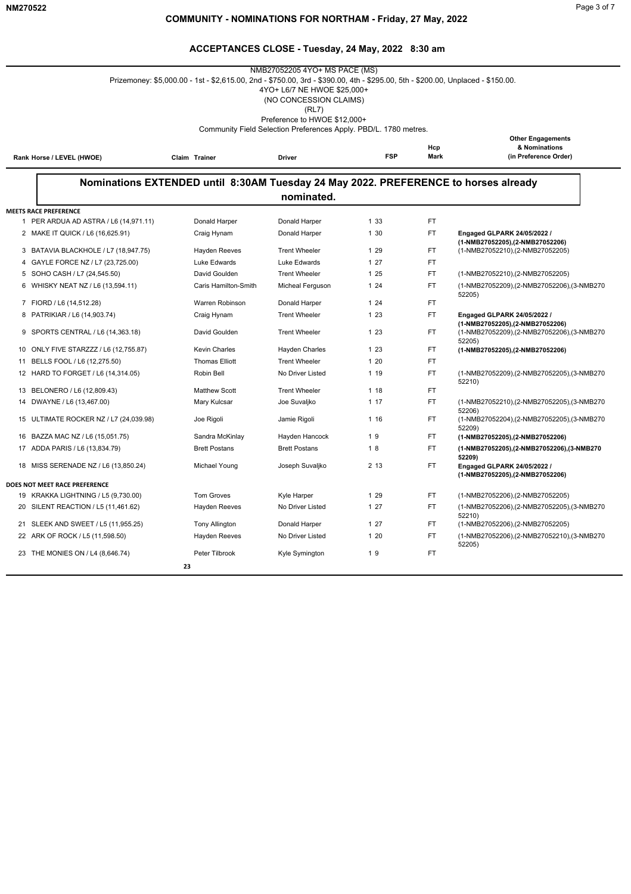|                                        |                                                                                                                                 | NMB27052205 4YO+ MS PACE (MS)                                    |            |                    |                                                                                        |
|----------------------------------------|---------------------------------------------------------------------------------------------------------------------------------|------------------------------------------------------------------|------------|--------------------|----------------------------------------------------------------------------------------|
|                                        | Prizemoney: \$5,000.00 - 1st - \$2,615.00, 2nd - \$750.00, 3rd - \$390.00, 4th - \$295.00, 5th - \$200.00, Unplaced - \$150.00. |                                                                  |            |                    |                                                                                        |
|                                        |                                                                                                                                 | 4YO+ L6/7 NE HWOE \$25,000+                                      |            |                    |                                                                                        |
|                                        |                                                                                                                                 | (NO CONCESSION CLAIMS)<br>(RL7)                                  |            |                    |                                                                                        |
|                                        |                                                                                                                                 | Preference to HWOE \$12,000+                                     |            |                    |                                                                                        |
|                                        |                                                                                                                                 | Community Field Selection Preferences Apply. PBD/L. 1780 metres. |            |                    |                                                                                        |
|                                        |                                                                                                                                 |                                                                  |            |                    | <b>Other Engagements</b>                                                               |
| Rank Horse / LEVEL (HWOE)              | Claim Trainer                                                                                                                   | <b>Driver</b>                                                    | <b>FSP</b> | Hcp<br><b>Mark</b> | & Nominations<br>(in Preference Order)                                                 |
|                                        | Nominations EXTENDED until 8:30AM Tuesday 24 May 2022. PREFERENCE to horses already                                             |                                                                  |            |                    |                                                                                        |
|                                        |                                                                                                                                 | nominated.                                                       |            |                    |                                                                                        |
| <b>MEETS RACE PREFERENCE</b>           |                                                                                                                                 |                                                                  |            |                    |                                                                                        |
| 1 PER ARDUA AD ASTRA / L6 (14,971.11)  | Donald Harper                                                                                                                   | Donald Harper                                                    | 1 33       | FT.                |                                                                                        |
| 2 MAKE IT QUICK / L6 (16,625.91)       | Craig Hynam                                                                                                                     | Donald Harper                                                    | 1 30       | FT                 | Engaged GLPARK 24/05/2022 /                                                            |
| 3 BATAVIA BLACKHOLE / L7 (18,947.75)   | Hayden Reeves                                                                                                                   | <b>Trent Wheeler</b>                                             | 1 29       | FT.                | (1-NMB27052205),(2-NMB27052206)<br>(1-NMB27052210), (2-NMB27052205)                    |
| GAYLE FORCE NZ / L7 (23,725.00)<br>4   | Luke Edwards                                                                                                                    | Luke Edwards                                                     | 127        | <b>FT</b>          |                                                                                        |
| 5 SOHO CASH / L7 (24,545.50)           | David Goulden                                                                                                                   | <b>Trent Wheeler</b>                                             | 1 25       | <b>FT</b>          | (1-NMB27052210),(2-NMB27052205)                                                        |
| 6 WHISKY NEAT NZ / L6 (13,594.11)      | Caris Hamilton-Smith                                                                                                            | Micheal Ferguson                                                 | 124        | <b>FT</b>          | (1-NMB27052209),(2-NMB27052206),(3-NMB270<br>52205)                                    |
| 7 FIORD / L6 (14,512.28)               | Warren Robinson                                                                                                                 | Donald Harper                                                    | 124        | <b>FT</b>          |                                                                                        |
| 8 PATRIKIAR / L6 (14,903.74)           | Craig Hynam                                                                                                                     | <b>Trent Wheeler</b>                                             | 1 23       | FT.                | Engaged GLPARK 24/05/2022 /                                                            |
| SPORTS CENTRAL / L6 (14,363.18)<br>9   | David Goulden                                                                                                                   | <b>Trent Wheeler</b>                                             | 123        | FT.                | (1-NMB27052205),(2-NMB27052206)<br>(1-NMB27052209),(2-NMB27052206),(3-NMB270<br>52205) |
| 10 ONLY FIVE STARZZZ / L6 (12,755.87)  | <b>Kevin Charles</b>                                                                                                            | Hayden Charles                                                   | 1 23       | FT.                | (1-NMB27052205),(2-NMB27052206)                                                        |
| BELLS FOOL / L6 (12,275.50)<br>11      | <b>Thomas Elliott</b>                                                                                                           | <b>Trent Wheeler</b>                                             | 120        | <b>FT</b>          |                                                                                        |
| 12 HARD TO FORGET / L6 (14,314.05)     | Robin Bell                                                                                                                      | No Driver Listed                                                 | 1 19       | <b>FT</b>          | (1-NMB27052209),(2-NMB27052205),(3-NMB270<br>52210)                                    |
| 13 BELONERO / L6 (12,809.43)           | <b>Matthew Scott</b>                                                                                                            | <b>Trent Wheeler</b>                                             | 1 18       | <b>FT</b>          |                                                                                        |
| DWAYNE / L6 (13,467.00)<br>14          | Mary Kulcsar                                                                                                                    | Joe Suvaljko                                                     | 117        | <b>FT</b>          | (1-NMB27052210),(2-NMB27052205),(3-NMB270<br>52206)                                    |
| 15 ULTIMATE ROCKER NZ / L7 (24,039.98) | Joe Rigoli                                                                                                                      | Jamie Rigoli                                                     | 1 16       | FT.                | (1-NMB27052204),(2-NMB27052205),(3-NMB270<br>52209)                                    |
| 16 BAZZA MAC NZ / L6 (15,051.75)       | Sandra McKinlay                                                                                                                 | Hayden Hancock                                                   | 19         | FT.                | (1-NMB27052205),(2-NMB27052206)                                                        |
| 17 ADDA PARIS / L6 (13,834.79)         | <b>Brett Postans</b>                                                                                                            | <b>Brett Postans</b>                                             | 18         | <b>FT</b>          | (1-NMB27052205),(2-NMB27052206),(3-NMB270<br>52209)                                    |
| 18 MISS SERENADE NZ / L6 (13,850.24)   | Michael Young                                                                                                                   | Joseph Suvaljko                                                  | 2 13       | <b>FT</b>          | Engaged GLPARK 24/05/2022 /<br>(1-NMB27052205),(2-NMB27052206)                         |
| DOES NOT MEET RACE PREFERENCE          |                                                                                                                                 |                                                                  |            |                    |                                                                                        |
| 19 KRAKKA LIGHTNING / L5 (9,730.00)    | Tom Groves                                                                                                                      | Kyle Harper                                                      | 1 29       | <b>FT</b>          | (1-NMB27052206), (2-NMB27052205)                                                       |
| 20 SILENT REACTION / L5 (11,461.62)    | <b>Hayden Reeves</b>                                                                                                            | No Driver Listed                                                 | 127        | <b>FT</b>          | (1-NMB27052206),(2-NMB27052205),(3-NMB270<br>52210)                                    |
| 21 SLEEK AND SWEET / L5 (11,955.25)    | <b>Tony Allington</b>                                                                                                           | Donald Harper                                                    | 127        | <b>FT</b>          | (1-NMB27052206),(2-NMB27052205)                                                        |
| 22 ARK OF ROCK / L5 (11,598.50)        | <b>Hayden Reeves</b>                                                                                                            | No Driver Listed                                                 | 120        | <b>FT</b>          | (1-NMB27052206),(2-NMB27052210),(3-NMB270<br>52205)                                    |
| 23 THE MONIES ON / L4 (8,646.74)       | Peter Tilbrook                                                                                                                  | Kyle Symington                                                   | 19         | <b>FT</b>          |                                                                                        |
|                                        | 23                                                                                                                              |                                                                  |            |                    |                                                                                        |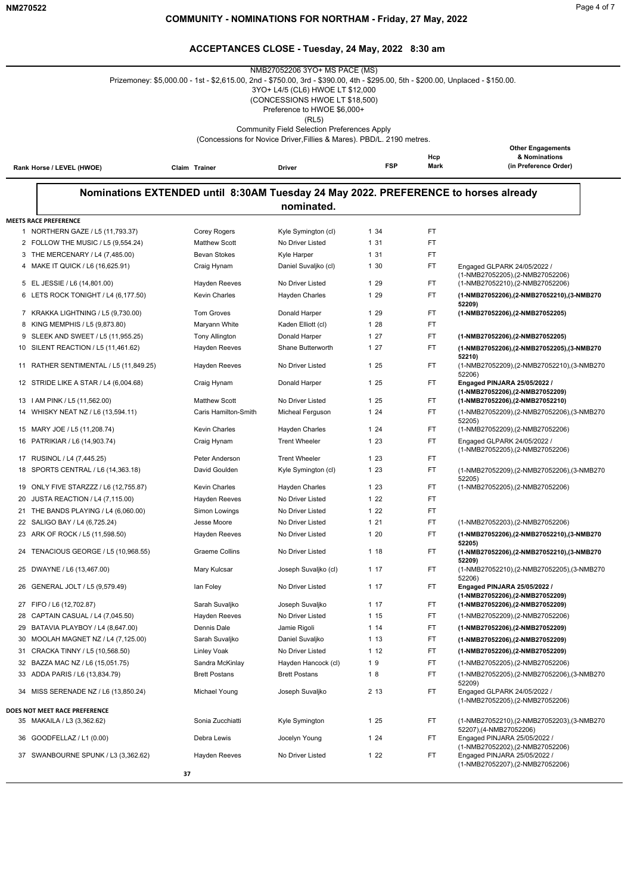$\overline{\phantom{0}}$ 

|    |                                                                     | Prizemoney: \$5,000.00 - 1st - \$2,615.00, 2nd - \$750.00, 3rd - \$390.00, 4th - \$295.00, 5th - \$200.00, Unplaced - \$150.00. | NMB27052206 3YO+ MS PACE (MS)<br>3YO+ L4/5 (CL6) HWOE LT \$12,000<br>(CONCESSIONS HWOE LT \$18,500)<br>Preference to HWOE \$6,000+<br>(RL5) |            |             |                                                                                           |
|----|---------------------------------------------------------------------|---------------------------------------------------------------------------------------------------------------------------------|---------------------------------------------------------------------------------------------------------------------------------------------|------------|-------------|-------------------------------------------------------------------------------------------|
|    |                                                                     |                                                                                                                                 | <b>Community Field Selection Preferences Apply</b><br>(Concessions for Novice Driver, Fillies & Mares). PBD/L. 2190 metres.                 |            |             |                                                                                           |
|    | Rank Horse / LEVEL (HWOE)                                           | Claim Trainer                                                                                                                   | Driver                                                                                                                                      | <b>FSP</b> | Hcp<br>Mark | <b>Other Engagements</b><br>& Nominations<br>(in Preference Order)                        |
|    |                                                                     |                                                                                                                                 |                                                                                                                                             |            |             |                                                                                           |
|    |                                                                     | Nominations EXTENDED until 8:30AM Tuesday 24 May 2022. PREFERENCE to horses already                                             |                                                                                                                                             |            |             |                                                                                           |
|    |                                                                     |                                                                                                                                 | nominated.                                                                                                                                  |            |             |                                                                                           |
|    | <b>MEETS RACE PREFERENCE</b>                                        |                                                                                                                                 |                                                                                                                                             |            |             |                                                                                           |
|    | 1 NORTHERN GAZE / L5 (11,793.37)                                    | Corey Rogers                                                                                                                    | Kyle Symington (cl)                                                                                                                         | 1 34       | <b>FT</b>   |                                                                                           |
|    | 2 FOLLOW THE MUSIC / L5 (9,554.24)                                  | <b>Matthew Scott</b>                                                                                                            | No Driver Listed                                                                                                                            | 1 31       | FT          |                                                                                           |
|    | 3 THE MERCENARY / L4 (7,485.00)                                     | <b>Bevan Stokes</b>                                                                                                             | Kyle Harper                                                                                                                                 | 1 31       | FT          |                                                                                           |
| 4  | MAKE IT QUICK / L6 (16,625.91)                                      | Craig Hynam                                                                                                                     | Daniel Suvaljko (cl)                                                                                                                        | 1 30       | FT          | Engaged GLPARK 24/05/2022 /                                                               |
|    |                                                                     |                                                                                                                                 | No Driver Listed                                                                                                                            | 1 29       | FT.         | (1-NMB27052205), (2-NMB27052206)                                                          |
|    | 5 EL JESSIE / L6 (14,801.00)<br>6 LETS ROCK TONIGHT / L4 (6,177.50) | Hayden Reeves<br><b>Kevin Charles</b>                                                                                           | Hayden Charles                                                                                                                              | 1 29       | FT          | (1-NMB27052210), (2-NMB27052206)<br>(1-NMB27052206),(2-NMB27052210),(3-NMB270             |
|    |                                                                     |                                                                                                                                 |                                                                                                                                             |            |             | 52209)                                                                                    |
|    | 7 KRAKKA LIGHTNING / L5 (9,730.00)                                  | <b>Tom Groves</b>                                                                                                               | Donald Harper                                                                                                                               | 1 29       | FT          | (1-NMB27052206),(2-NMB27052205)                                                           |
|    | 8 KING MEMPHIS / L5 (9,873.80)                                      | Maryann White                                                                                                                   | Kaden Elliott (cl)                                                                                                                          | 1 28       | FT.         |                                                                                           |
| 9  | SLEEK AND SWEET / L5 (11,955.25)                                    | <b>Tony Allington</b>                                                                                                           | Donald Harper                                                                                                                               | 127        | FT.         | (1-NMB27052206),(2-NMB27052205)                                                           |
|    | 10 SILENT REACTION / L5 (11,461.62)                                 | <b>Hayden Reeves</b>                                                                                                            | Shane Butterworth                                                                                                                           | 127        | <b>FT</b>   | (1-NMB27052206),(2-NMB27052205),(3-NMB270                                                 |
| 11 | RATHER SENTIMENTAL / L5 (11,849.25)                                 | <b>Hayden Reeves</b>                                                                                                            | No Driver Listed                                                                                                                            | 1 25       | FT.         | 52210)<br>(1-NMB27052209),(2-NMB27052210),(3-NMB270<br>52206)                             |
|    | 12 STRIDE LIKE A STAR / L4 (6,004.68)                               | Craig Hynam                                                                                                                     | Donald Harper                                                                                                                               | 1 25       | FT          | Engaged PINJARA 25/05/2022 /<br>(1-NMB27052206),(2-NMB27052209)                           |
|    | 13   AM PINK / L5 (11,562.00)                                       | <b>Matthew Scott</b>                                                                                                            | No Driver Listed                                                                                                                            | 1 25       | FT.         | (1-NMB27052206),(2-NMB27052210)                                                           |
| 14 | WHISKY NEAT NZ / L6 (13,594.11)                                     | Caris Hamilton-Smith                                                                                                            | Micheal Ferguson                                                                                                                            | 124        | FT          | (1-NMB27052209),(2-NMB27052206),(3-NMB270                                                 |
| 15 | MARY JOE / L5 (11,208.74)                                           | <b>Kevin Charles</b>                                                                                                            | <b>Hayden Charles</b>                                                                                                                       | 124        | FT.         | 52205)<br>(1-NMB27052209),(2-NMB27052206)                                                 |
|    | 16 PATRIKIAR / L6 (14,903.74)                                       | Craig Hynam                                                                                                                     | <b>Trent Wheeler</b>                                                                                                                        | 1 2 3      | FT          | Engaged GLPARK 24/05/2022 /                                                               |
|    |                                                                     |                                                                                                                                 |                                                                                                                                             |            |             | (1-NMB27052205),(2-NMB27052206)                                                           |
|    | 17 RUSINOL / L4 (7,445.25)                                          | Peter Anderson                                                                                                                  | <b>Trent Wheeler</b>                                                                                                                        | 1 2 3      | FT.         |                                                                                           |
| 18 | SPORTS CENTRAL / L6 (14,363.18)                                     | David Goulden                                                                                                                   | Kyle Symington (cl)                                                                                                                         | 1 2 3      | <b>FT</b>   | (1-NMB27052209),(2-NMB27052206),(3-NMB270<br>52205)                                       |
| 19 | ONLY FIVE STARZZZ / L6 (12,755.87)                                  | Kevin Charles                                                                                                                   | <b>Hayden Charles</b>                                                                                                                       | 1 2 3      | FT          | (1-NMB27052205), (2-NMB27052206)                                                          |
| 20 | JUSTA REACTION / L4 (7,115.00)                                      | Hayden Reeves                                                                                                                   | No Driver Listed                                                                                                                            | 1 2 2      | <b>FT</b>   |                                                                                           |
|    | 21 THE BANDS PLAYING / L4 (6,060.00)                                | Simon Lowings                                                                                                                   | No Driver Listed                                                                                                                            | 122        | FT          |                                                                                           |
|    | 22 SALIGO BAY / L4 (6,725.24)                                       | Jesse Moore                                                                                                                     | No Driver Listed                                                                                                                            | 1 2 1      | FT          | (1-NMB27052203), (2-NMB27052206)                                                          |
|    | 23 ARK OF ROCK / L5 (11,598.50)                                     | <b>Hayden Reeves</b>                                                                                                            | No Driver Listed                                                                                                                            | 1 20       | FT          | (1-NMB27052206),(2-NMB27052210),(3-NMB270                                                 |
|    | 24 TENACIOUS GEORGE / L5 (10,968.55)                                | <b>Graeme Collins</b>                                                                                                           | No Driver Listed                                                                                                                            | 1 18       | FT          | 52205)<br>(1-NMB27052206),(2-NMB27052210),(3-NMB270                                       |
|    | 25 DWAYNE / L6 (13,467.00)                                          | Mary Kulcsar                                                                                                                    | Joseph Suvaliko (cl)                                                                                                                        | 1 17       | FT.         | 52209)<br>(1-NMB27052210),(2-NMB27052205),(3-NMB270                                       |
|    | 26 GENERAL JOLT / L5 (9,579.49)                                     | lan Foley                                                                                                                       | No Driver Listed                                                                                                                            | 1 17       | FT.         | 52206)<br>Engaged PINJARA 25/05/2022 /                                                    |
|    | 27 FIFO / L6 (12,702.87)                                            | Sarah Suvaljko                                                                                                                  | Joseph Suvaljko                                                                                                                             | 1 17       | FT.         | (1-NMB27052206),(2-NMB27052209)<br>(1-NMB27052206),(2-NMB27052209)                        |
|    | 28 CAPTAIN CASUAL / L4 (7,045.50)                                   | <b>Hayden Reeves</b>                                                                                                            | No Driver Listed                                                                                                                            | 1 15       | FT.         | (1-NMB27052209),(2-NMB27052206)                                                           |
| 29 | BATAVIA PLAYBOY / L4 (8,647.00)                                     | Dennis Dale                                                                                                                     | Jamie Rigoli                                                                                                                                | 114        | FT.         | (1-NMB27052206),(2-NMB27052209)                                                           |
|    | 30 MOOLAH MAGNET NZ / L4 (7,125.00)                                 | Sarah Suvaljko                                                                                                                  | Daniel Suvaljko                                                                                                                             | 1 13       | FT.         | (1-NMB27052206),(2-NMB27052209)                                                           |
|    | 31 CRACKA TINNY / L5 (10,568.50)                                    | Linley Voak                                                                                                                     | No Driver Listed                                                                                                                            | 1 12       | FT.         | (1-NMB27052206),(2-NMB27052209)                                                           |
|    | 32 BAZZA MAC NZ / L6 (15,051.75)                                    | Sandra McKinlay                                                                                                                 | Hayden Hancock (cl)                                                                                                                         | 19         | FT.         | (1-NMB27052205),(2-NMB27052206)                                                           |
|    | 33 ADDA PARIS / L6 (13,834.79)                                      | <b>Brett Postans</b>                                                                                                            | <b>Brett Postans</b>                                                                                                                        | 18         | FT.         | (1-NMB27052205),(2-NMB27052206),(3-NMB270                                                 |
| 34 | MISS SERENADE NZ / L6 (13,850.24)                                   | Michael Young                                                                                                                   | Joseph Suvaljko                                                                                                                             | 2 13       | FT.         | 52209)<br>Engaged GLPARK 24/05/2022 /                                                     |
|    |                                                                     |                                                                                                                                 |                                                                                                                                             |            |             | (1-NMB27052205),(2-NMB27052206)                                                           |
|    | DOES NOT MEET RACE PREFERENCE                                       |                                                                                                                                 |                                                                                                                                             |            |             |                                                                                           |
|    | 35 MAKAILA / L3 (3,362.62)                                          | Sonia Zucchiatti                                                                                                                | Kyle Symington                                                                                                                              | 1 25       | FT.         | (1-NMB27052210),(2-NMB27052203),(3-NMB270                                                 |
|    | 36 GOODFELLAZ / L1 (0.00)                                           | Debra Lewis                                                                                                                     | Jocelyn Young                                                                                                                               | 124        | FT.         | 52207),(4-NMB27052206)<br>Engaged PINJARA 25/05/2022 /<br>(1-NMB27052202),(2-NMB27052206) |
|    | 37 SWANBOURNE SPUNK / L3 (3,362.62)                                 | <b>Hayden Reeves</b>                                                                                                            | No Driver Listed                                                                                                                            | 122        | FT.         | Engaged PINJARA 25/05/2022 /<br>(1-NMB27052207),(2-NMB27052206)                           |
|    |                                                                     | 37                                                                                                                              |                                                                                                                                             |            |             |                                                                                           |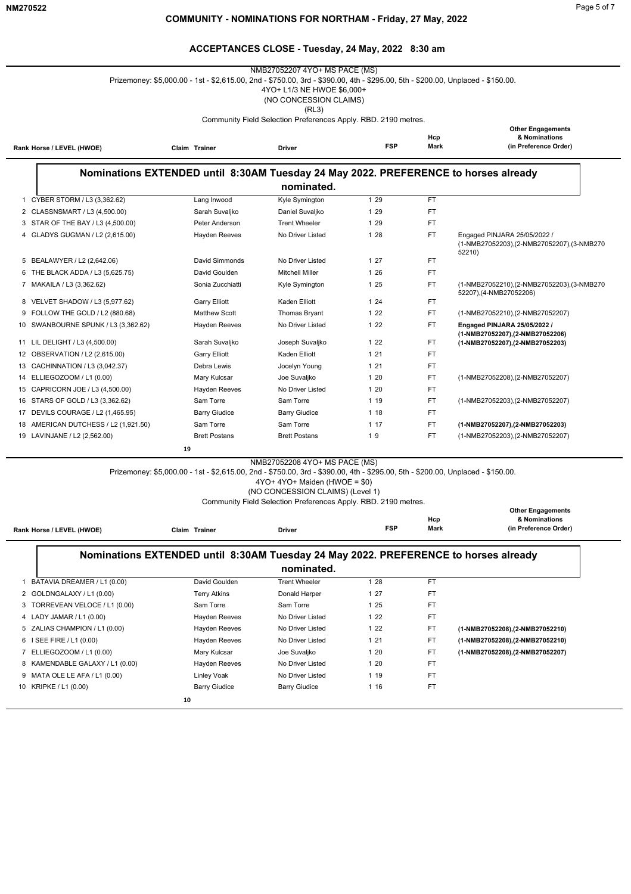**Other Engagements**

#### **ACCEPTANCES CLOSE - Tuesday, 24 May, 2022 8:30 am**

| NMB27052207 4YO+ MS PACE (MS)<br>Prizemoney: \$5,000.00 - 1st - \$2,615.00, 2nd - \$750.00, 3rd - \$390.00, 4th - \$295.00, 5th - \$200.00, Unplaced - \$150.00.<br>4YO+ L1/3 NE HWOE \$6,000+<br>(NO CONCESSION CLAIMS)<br>(RL3) |                                      |                                                                                     |                                                                                 |            |                    |                                                                                     |
|-----------------------------------------------------------------------------------------------------------------------------------------------------------------------------------------------------------------------------------|--------------------------------------|-------------------------------------------------------------------------------------|---------------------------------------------------------------------------------|------------|--------------------|-------------------------------------------------------------------------------------|
|                                                                                                                                                                                                                                   | Rank Horse / LEVEL (HWOE)            | Claim Trainer                                                                       | Community Field Selection Preferences Apply. RBD. 2190 metres.<br><b>Driver</b> | <b>FSP</b> | Hcp<br><b>Mark</b> | <b>Other Engagements</b><br>& Nominations<br>(in Preference Order)                  |
|                                                                                                                                                                                                                                   |                                      | Nominations EXTENDED until 8:30AM Tuesday 24 May 2022. PREFERENCE to horses already | nominated.                                                                      |            |                    |                                                                                     |
|                                                                                                                                                                                                                                   | 1 CYBER STORM / L3 (3,362.62)        | Lang Inwood                                                                         | Kyle Symington                                                                  | 1 29       | <b>FT</b>          |                                                                                     |
|                                                                                                                                                                                                                                   | 2 CLASSNSMART / L3 (4,500.00)        | Sarah Suvaljko                                                                      | Daniel Suvaljko                                                                 | 1 29       | <b>FT</b>          |                                                                                     |
|                                                                                                                                                                                                                                   | 3 STAR OF THE BAY / L3 (4,500.00)    | Peter Anderson                                                                      | <b>Trent Wheeler</b>                                                            | 1 29       | <b>FT</b>          |                                                                                     |
|                                                                                                                                                                                                                                   | 4 GLADYS GUGMAN / L2 (2,615.00)      | <b>Hayden Reeves</b>                                                                | No Driver Listed                                                                | 1 28       | <b>FT</b>          | Engaged PINJARA 25/05/2022 /<br>(1-NMB27052203),(2-NMB27052207),(3-NMB270<br>52210) |
|                                                                                                                                                                                                                                   | 5 BEALAWYER / L2 (2,642.06)          | David Simmonds                                                                      | No Driver Listed                                                                | 127        | <b>FT</b>          |                                                                                     |
|                                                                                                                                                                                                                                   | 6 THE BLACK ADDA / L3 (5,625.75)     | David Goulden                                                                       | <b>Mitchell Miller</b>                                                          | 1 26       | FT.                |                                                                                     |
|                                                                                                                                                                                                                                   | 7 MAKAILA / L3 (3,362.62)            | Sonia Zucchiatti                                                                    | Kyle Symington                                                                  | 1 25       | <b>FT</b>          | (1-NMB27052210),(2-NMB27052203),(3-NMB270<br>52207),(4-NMB27052206)                 |
|                                                                                                                                                                                                                                   | 8 VELVET SHADOW / L3 (5,977.62)      | <b>Garry Elliott</b>                                                                | Kaden Elliott                                                                   | 124        | FT.                |                                                                                     |
|                                                                                                                                                                                                                                   | 9 FOLLOW THE GOLD / L2 (880.68)      | <b>Matthew Scott</b>                                                                | <b>Thomas Bryant</b>                                                            | 122        | <b>FT</b>          | (1-NMB27052210),(2-NMB27052207)                                                     |
|                                                                                                                                                                                                                                   | 10 SWANBOURNE SPUNK / L3 (3,362.62)  | <b>Hayden Reeves</b>                                                                | No Driver Listed                                                                | 122        | FT.                | Engaged PINJARA 25/05/2022 /<br>(1-NMB27052207),(2-NMB27052206)                     |
|                                                                                                                                                                                                                                   | 11 LIL DELIGHT / L3 (4,500.00)       | Sarah Suvaljko                                                                      | Joseph Suvaljko                                                                 | 122        | <b>FT</b>          | (1-NMB27052207),(2-NMB27052203)                                                     |
|                                                                                                                                                                                                                                   | 12 OBSERVATION / L2 (2,615.00)       | <b>Garry Elliott</b>                                                                | Kaden Elliott                                                                   | 121        | <b>FT</b>          |                                                                                     |
|                                                                                                                                                                                                                                   | 13 CACHINNATION / L3 (3,042.37)      | Debra Lewis                                                                         | Jocelyn Young                                                                   | 1 2 1      | FT                 |                                                                                     |
|                                                                                                                                                                                                                                   | 14 ELLIEGOZOOM / L1 (0.00)           | Mary Kulcsar                                                                        | Joe Suvaljko                                                                    | 120        | <b>FT</b>          | (1-NMB27052208),(2-NMB27052207)                                                     |
|                                                                                                                                                                                                                                   | 15 CAPRICORN JOE / L3 (4,500.00)     | <b>Hayden Reeves</b>                                                                | No Driver Listed                                                                | 1 20       | <b>FT</b>          |                                                                                     |
|                                                                                                                                                                                                                                   | 16 STARS OF GOLD / L3 (3,362.62)     | Sam Torre                                                                           | Sam Torre                                                                       | 1 19       | <b>FT</b>          | (1-NMB27052203),(2-NMB27052207)                                                     |
|                                                                                                                                                                                                                                   | 17 DEVILS COURAGE / L2 (1,465.95)    | <b>Barry Giudice</b>                                                                | <b>Barry Giudice</b>                                                            | 1 18       | <b>FT</b>          |                                                                                     |
|                                                                                                                                                                                                                                   | 18 AMERICAN DUTCHESS / L2 (1,921.50) | Sam Torre                                                                           | Sam Torre                                                                       | 1 17       | <b>FT</b>          | (1-NMB27052207),(2-NMB27052203)                                                     |

19 LAVINJANE / L2 (2,562.00) Brett Postans Brett Postans 1 9 FT (1-NMB27052203),(2-NMB27052207)

 **19**

NMB27052208 4YO+ MS PACE (MS)

Prizemoney: \$5,000.00 - 1st - \$2,615.00, 2nd - \$750.00, 3rd - \$390.00, 4th - \$295.00, 5th - \$200.00, Unplaced - \$150.00.

4YO+ 4YO+ Maiden (HWOE = \$0)

(NO CONCESSION CLAIMS) (Level 1) Community Field Selection Preferences Apply. RBD. 2190 metres.

| Rank Horse / LEVEL (HWOE)       | Claim Trainer                                                                       | <b>Driver</b>        | <b>FSP</b> | Hcp<br>Mark | ------ <i>---</i> -----------<br>& Nominations<br>(in Preference Order) |
|---------------------------------|-------------------------------------------------------------------------------------|----------------------|------------|-------------|-------------------------------------------------------------------------|
|                                 | Nominations EXTENDED until 8:30AM Tuesday 24 May 2022. PREFERENCE to horses already |                      |            |             |                                                                         |
|                                 |                                                                                     | nominated.           |            |             |                                                                         |
| BATAVIA DREAMER / L1 (0.00)     | David Goulden                                                                       | Trent Wheeler        | 1 28       | <b>FT</b>   |                                                                         |
| 2 GOLDNGALAXY / L1 (0.00)       | <b>Terry Atkins</b>                                                                 | Donald Harper        | 127        | FT          |                                                                         |
| 3 TORREVEAN VELOCE / L1 (0.00)  | Sam Torre                                                                           | Sam Torre            | 125        | FT          |                                                                         |
| 4 LADY JAMAR / L1 (0.00)        | Hayden Reeves                                                                       | No Driver Listed     | 122        | <b>FT</b>   |                                                                         |
| 5 ZALIAS CHAMPION / L1 (0.00)   | Hayden Reeves                                                                       | No Driver Listed     | 122        | FT          | (1-NMB27052208),(2-NMB27052210)                                         |
| 6 I SEE FIRE / L1 (0.00)        | Hayden Reeves                                                                       | No Driver Listed     | 121        | FT          | (1-NMB27052208), (2-NMB27052210)                                        |
| 7 ELLIEGOZOOM / L1 (0.00)       | Mary Kulcsar                                                                        | Joe Suvaljko         | 120        | <b>FT</b>   | (1-NMB27052208),(2-NMB27052207)                                         |
| 8 KAMENDABLE GALAXY / L1 (0.00) | Hayden Reeves                                                                       | No Driver Listed     | 120        | <b>FT</b>   |                                                                         |
| 9 MATA OLE LE AFA / L1 (0.00)   | Linley Voak                                                                         | No Driver Listed     | 1 19       | <b>FT</b>   |                                                                         |
| 10 KRIPKE / L1 (0.00)           | <b>Barry Giudice</b>                                                                | <b>Barry Giudice</b> | 1 16       | <b>FT</b>   |                                                                         |
|                                 | 10                                                                                  |                      |            |             |                                                                         |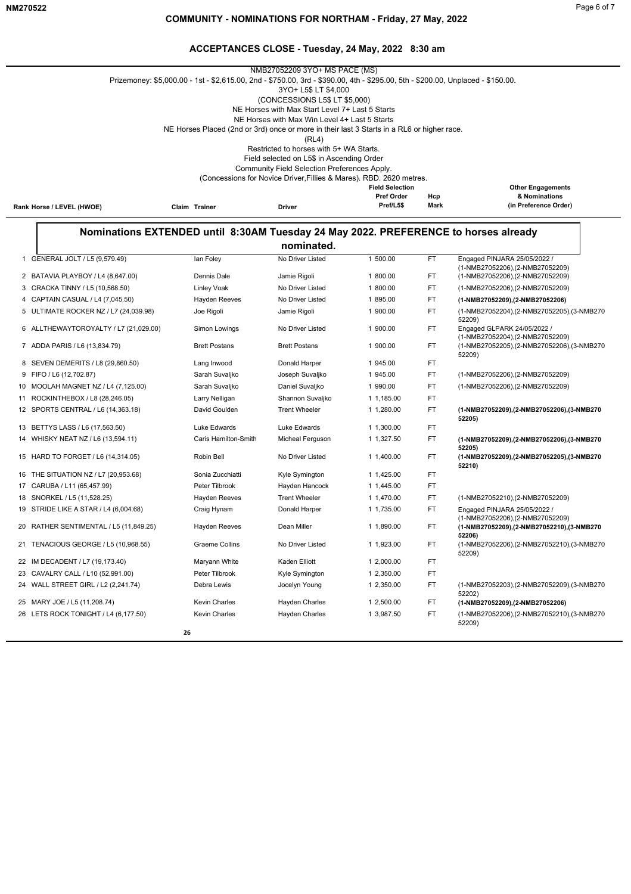|                           |               | NMB27052209 3YO+ MS PACE (MS)                                                                                                   |                        |      |                          |
|---------------------------|---------------|---------------------------------------------------------------------------------------------------------------------------------|------------------------|------|--------------------------|
|                           |               | Prizemoney: \$5,000.00 - 1st - \$2,615.00, 2nd - \$750.00, 3rd - \$390.00, 4th - \$295.00, 5th - \$200.00, Unplaced - \$150.00. |                        |      |                          |
|                           |               | 3YO+ L5\$ LT \$4.000                                                                                                            |                        |      |                          |
|                           |               | (CONCESSIONS L5\$ LT \$5,000)                                                                                                   |                        |      |                          |
|                           |               | NE Horses with Max Start Level 7+ Last 5 Starts                                                                                 |                        |      |                          |
|                           |               | NE Horses with Max Win Level 4+ Last 5 Starts                                                                                   |                        |      |                          |
|                           |               | NE Horses Placed (2nd or 3rd) once or more in their last 3 Starts in a RL6 or higher race.                                      |                        |      |                          |
|                           |               | (RL4)                                                                                                                           |                        |      |                          |
|                           |               | Restricted to horses with 5+ WA Starts.                                                                                         |                        |      |                          |
|                           |               | Field selected on L5\$ in Ascending Order                                                                                       |                        |      |                          |
|                           |               | Community Field Selection Preferences Apply.                                                                                    |                        |      |                          |
|                           |               | (Concessions for Novice Driver, Fillies & Mares). RBD. 2620 metres.                                                             |                        |      |                          |
|                           |               |                                                                                                                                 | <b>Field Selection</b> |      | <b>Other Engagements</b> |
|                           |               |                                                                                                                                 | <b>Pref Order</b>      | Hcp  | & Nominations            |
| Rank Horse / LEVEL (HWOE) | Claim Trainer | <b>Driver</b>                                                                                                                   | Pref/L5\$              | Mark | (in Preference Order)    |

|                                        |                       | nominated.            |            |           |                                                                  |
|----------------------------------------|-----------------------|-----------------------|------------|-----------|------------------------------------------------------------------|
| 1 GENERAL JOLT / L5 (9,579.49)         | lan Foley             | No Driver Listed      | 1 500.00   | FT.       | Engaged PINJARA 25/05/2022 /<br>(1-NMB27052206),(2-NMB27052209)  |
| 2 BATAVIA PLAYBOY / L4 (8,647.00)      | Dennis Dale           | Jamie Rigoli          | 1 800.00   | FT.       | (1-NMB27052206),(2-NMB27052209)                                  |
| 3 CRACKA TINNY / L5 (10,568.50)        | Linley Voak           | No Driver Listed      | 1 800.00   | FT.       | (1-NMB27052206),(2-NMB27052209)                                  |
| 4 CAPTAIN CASUAL / L4 (7,045.50)       | <b>Hayden Reeves</b>  | No Driver Listed      | 1 895.00   | FT.       | (1-NMB27052209),(2-NMB27052206)                                  |
| 5 ULTIMATE ROCKER NZ / L7 (24,039.98)  | Joe Rigoli            | Jamie Rigoli          | 1 900.00   | FT.       | (1-NMB27052204),(2-NMB27052205),(3-NMB270<br>52209)              |
| 6 ALLTHEWAYTOROYALTY / L7 (21,029.00)  | Simon Lowings         | No Driver Listed      | 1 900.00   | FT        | Engaged GLPARK 24/05/2022 /<br>(1-NMB27052204), (2-NMB27052209)  |
| 7 ADDA PARIS / L6 (13,834.79)          | <b>Brett Postans</b>  | <b>Brett Postans</b>  | 1 900.00   | FT.       | (1-NMB27052205),(2-NMB27052206),(3-NMB270<br>52209)              |
| 8 SEVEN DEMERITS / L8 (29,860.50)      | Lang Inwood           | Donald Harper         | 1 945.00   | FT.       |                                                                  |
| 9 FIFO / L6 (12,702.87)                | Sarah Suvaljko        | Joseph Suvaljko       | 1 945.00   | FT.       | (1-NMB27052206),(2-NMB27052209)                                  |
| 10 MOOLAH MAGNET NZ / L4 (7,125.00)    | Sarah Suvaljko        | Daniel Suvaljko       | 1 990.00   | FT.       | (1-NMB27052206),(2-NMB27052209)                                  |
| 11 ROCKINTHEBOX / L8 (28,246.05)       | Larry Nelligan        | Shannon Suvaljko      | 1 1,185.00 | FT.       |                                                                  |
| 12 SPORTS CENTRAL / L6 (14,363.18)     | David Goulden         | <b>Trent Wheeler</b>  | 1 1,280.00 | FT        | (1-NMB27052209),(2-NMB27052206),(3-NMB270<br>52205)              |
| 13 BETTYS LASS / L6 (17,563.50)        | <b>Luke Edwards</b>   | <b>Luke Edwards</b>   | 1 1,300.00 | FT        |                                                                  |
| 14 WHISKY NEAT NZ / L6 (13,594.11)     | Caris Hamilton-Smith  | Micheal Ferguson      | 1 1,327.50 | FT.       | (1-NMB27052209),(2-NMB27052206),(3-NMB270<br>52205)              |
| 15 HARD TO FORGET / L6 (14,314.05)     | Robin Bell            | No Driver Listed      | 1 1.400.00 | FT        | (1-NMB27052209),(2-NMB27052205),(3-NMB270<br>52210)              |
| 16 THE SITUATION NZ / L7 (20,953.68)   | Sonia Zucchiatti      | Kyle Symington        | 1 1.425.00 | FT.       |                                                                  |
| 17 CARUBA / L11 (65,457.99)            | Peter Tilbrook        | Hayden Hancock        | 1 1,445.00 | <b>FT</b> |                                                                  |
| 18 SNORKEL / L5 (11,528.25)            | <b>Hayden Reeves</b>  | <b>Trent Wheeler</b>  | 1 1,470.00 | FT        | (1-NMB27052210),(2-NMB27052209)                                  |
| 19 STRIDE LIKE A STAR / L4 (6,004.68)  | Craig Hynam           | Donald Harper         | 1 1,735.00 | FT.       | Engaged PINJARA 25/05/2022 /<br>(1-NMB27052206), (2-NMB27052209) |
| 20 RATHER SENTIMENTAL / L5 (11,849.25) | <b>Hayden Reeves</b>  | Dean Miller           | 1 1.890.00 | FT.       | (1-NMB27052209),(2-NMB27052210),(3-NMB270<br>52206)              |
| 21 TENACIOUS GEORGE / L5 (10,968.55)   | <b>Graeme Collins</b> | No Driver Listed      | 1 1.923.00 | <b>FT</b> | (1-NMB27052206),(2-NMB27052210),(3-NMB270<br>52209)              |
| 22 IM DECADENT / L7 (19,173.40)        | Maryann White         | Kaden Elliott         | 1 2.000.00 | FT.       |                                                                  |
| 23 CAVALRY CALL / L10 (52,991.00)      | Peter Tilbrook        | Kyle Symington        | 1 2,350.00 | FT.       |                                                                  |
| 24 WALL STREET GIRL / L2 (2,241.74)    | Debra Lewis           | Jocelyn Young         | 1 2,350.00 | FT.       | (1-NMB27052203),(2-NMB27052209),(3-NMB270<br>52202)              |
| 25 MARY JOE / L5 (11,208.74)           | <b>Kevin Charles</b>  | Hayden Charles        | 1 2,500.00 | FT.       | (1-NMB27052209),(2-NMB27052206)                                  |
| 26 LETS ROCK TONIGHT / L4 (6,177.50)   | <b>Kevin Charles</b>  | <b>Hayden Charles</b> | 1 3,987.50 | FT.       | (1-NMB27052206),(2-NMB27052210),(3-NMB270<br>52209)              |